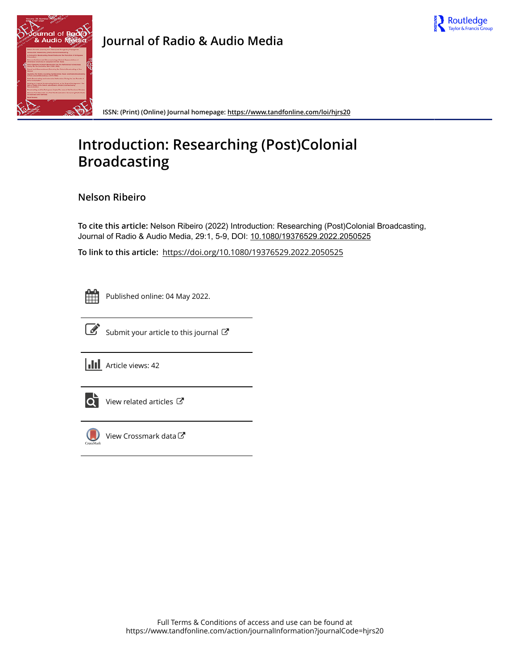



**ISSN: (Print) (Online) Journal homepage:<https://www.tandfonline.com/loi/hjrs20>**

# **Introduction: Researching (Post)Colonial Broadcasting**

### **Nelson Ribeiro**

**To cite this article:** Nelson Ribeiro (2022) Introduction: Researching (Post)Colonial Broadcasting, Journal of Radio & Audio Media, 29:1, 5-9, DOI: [10.1080/19376529.2022.2050525](https://www.tandfonline.com/action/showCitFormats?doi=10.1080/19376529.2022.2050525)

**To link to this article:** <https://doi.org/10.1080/19376529.2022.2050525>

Published online: 04 May 2022.



 $\overrightarrow{S}$  [Submit your article to this journal](https://www.tandfonline.com/action/authorSubmission?journalCode=hjrs20&show=instructions)  $\overrightarrow{S}$ 

**Article views: 42** 



 $\overrightarrow{Q}$  [View related articles](https://www.tandfonline.com/doi/mlt/10.1080/19376529.2022.2050525)  $\overrightarrow{C}$ 



[View Crossmark data](http://crossmark.crossref.org/dialog/?doi=10.1080/19376529.2022.2050525&domain=pdf&date_stamp=2022-05-04)<sup>で</sup>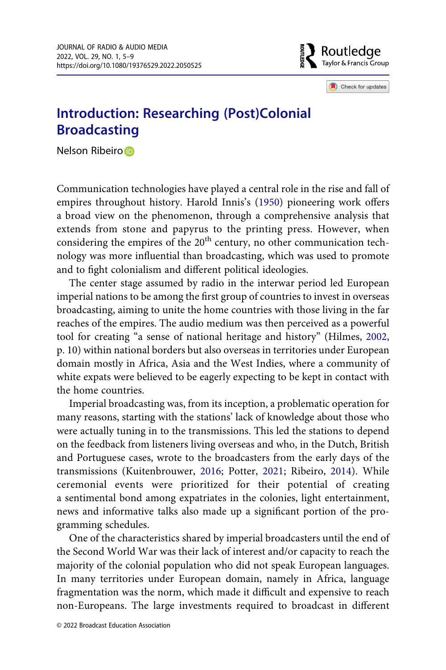

Check for updates

## **Introduction: Researching (Post)Colonial Broadcasting**

Nelson Ribeir[o](http://orcid.org/0000-0003-4724-550X)

<span id="page-1-1"></span>Communication technologies have played a central role in the rise and fall of empires throughout history. Harold Innis's [\(1950\)](#page-5-0) pioneering work offers a broad view on the phenomenon, through a comprehensive analysis that extends from stone and papyrus to the printing press. However, when considering the empires of the  $20<sup>th</sup>$  century, no other communication technology was more influential than broadcasting, which was used to promote and to fight colonialism and different political ideologies.

<span id="page-1-0"></span>The center stage assumed by radio in the interwar period led European imperial nations to be among the first group of countries to invest in overseas broadcasting, aiming to unite the home countries with those living in the far reaches of the empires. The audio medium was then perceived as a powerful tool for creating "a sense of national heritage and history" (Hilmes, [2002,](#page-5-1) p. 10) within national borders but also overseas in territories under European domain mostly in Africa, Asia and the West Indies, where a community of white expats were believed to be eagerly expecting to be kept in contact with the home countries.

<span id="page-1-2"></span>Imperial broadcasting was, from its inception, a problematic operation for many reasons, starting with the stations' lack of knowledge about those who were actually tuning in to the transmissions. This led the stations to depend on the feedback from listeners living overseas and who, in the Dutch, British and Portuguese cases, wrote to the broadcasters from the early days of the transmissions (Kuitenbrouwer, [2016](#page-5-2); Potter, [2021;](#page-5-3) Ribeiro, [2014\)](#page-5-4). While ceremonial events were prioritized for their potential of creating a sentimental bond among expatriates in the colonies, light entertainment, news and informative talks also made up a significant portion of the programming schedules.

One of the characteristics shared by imperial broadcasters until the end of the Second World War was their lack of interest and/or capacity to reach the majority of the colonial population who did not speak European languages. In many territories under European domain, namely in Africa, language fragmentation was the norm, which made it difficult and expensive to reach non-Europeans. The large investments required to broadcast in different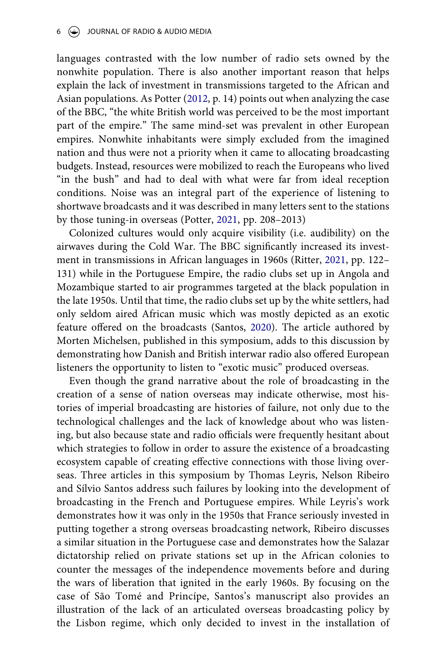<span id="page-2-0"></span>languages contrasted with the low number of radio sets owned by the nonwhite population. There is also another important reason that helps explain the lack of investment in transmissions targeted to the African and Asian populations. As Potter [\(2012](#page-5-5), p. 14) points out when analyzing the case of the BBC, "the white British world was perceived to be the most important part of the empire." The same mind-set was prevalent in other European empires. Nonwhite inhabitants were simply excluded from the imagined nation and thus were not a priority when it came to allocating broadcasting budgets. Instead, resources were mobilized to reach the Europeans who lived "in the bush" and had to deal with what were far from ideal reception conditions. Noise was an integral part of the experience of listening to shortwave broadcasts and it was described in many letters sent to the stations by those tuning-in overseas (Potter, [2021](#page-5-3), pp. 208–2013)

<span id="page-2-1"></span>Colonized cultures would only acquire visibility (i.e. audibility) on the airwaves during the Cold War. The BBC significantly increased its investment in transmissions in African languages in 1960s (Ritter, [2021,](#page-5-6) pp. 122– 131) while in the Portuguese Empire, the radio clubs set up in Angola and Mozambique started to air programmes targeted at the black population in the late 1950s. Until that time, the radio clubs set up by the white settlers, had only seldom aired African music which was mostly depicted as an exotic feature offered on the broadcasts (Santos, [2020\)](#page-5-7). The article authored by Morten Michelsen, published in this symposium, adds to this discussion by demonstrating how Danish and British interwar radio also offered European listeners the opportunity to listen to "exotic music" produced overseas.

<span id="page-2-2"></span>Even though the grand narrative about the role of broadcasting in the creation of a sense of nation overseas may indicate otherwise, most histories of imperial broadcasting are histories of failure, not only due to the technological challenges and the lack of knowledge about who was listening, but also because state and radio officials were frequently hesitant about which strategies to follow in order to assure the existence of a broadcasting ecosystem capable of creating effective connections with those living overseas. Three articles in this symposium by Thomas Leyris, Nelson Ribeiro and Sílvio Santos address such failures by looking into the development of broadcasting in the French and Portuguese empires. While Leyris's work demonstrates how it was only in the 1950s that France seriously invested in putting together a strong overseas broadcasting network, Ribeiro discusses a similar situation in the Portuguese case and demonstrates how the Salazar dictatorship relied on private stations set up in the African colonies to counter the messages of the independence movements before and during the wars of liberation that ignited in the early 1960s. By focusing on the case of São Tomé and Princípe, Santos's manuscript also provides an illustration of the lack of an articulated overseas broadcasting policy by the Lisbon regime, which only decided to invest in the installation of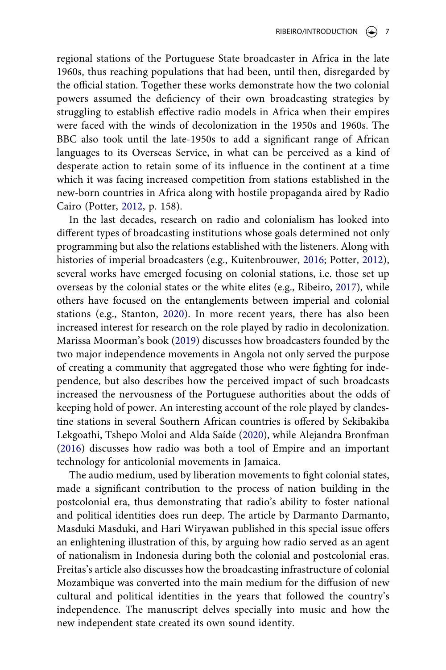regional stations of the Portuguese State broadcaster in Africa in the late 1960s, thus reaching populations that had been, until then, disregarded by the official station. Together these works demonstrate how the two colonial powers assumed the deficiency of their own broadcasting strategies by struggling to establish effective radio models in Africa when their empires were faced with the winds of decolonization in the 1950s and 1960s. The BBC also took until the late-1950s to add a significant range of African languages to its Overseas Service, in what can be perceived as a kind of desperate action to retain some of its influence in the continent at a time which it was facing increased competition from stations established in the new-born countries in Africa along with hostile propaganda aired by Radio Cairo (Potter, [2012](#page-5-5), p. 158).

<span id="page-3-4"></span><span id="page-3-2"></span><span id="page-3-1"></span>In the last decades, research on radio and colonialism has looked into different types of broadcasting institutions whose goals determined not only programming but also the relations established with the listeners. Along with histories of imperial broadcasters (e.g., Kuitenbrouwer, [2016;](#page-5-2) Potter, [2012](#page-5-5)), several works have emerged focusing on colonial stations, i.e. those set up overseas by the colonial states or the white elites (e.g., Ribeiro, [2017](#page-5-8)), while others have focused on the entanglements between imperial and colonial stations (e.g., Stanton, [2020](#page-5-9)). In more recent years, there has also been increased interest for research on the role played by radio in decolonization. Marissa Moorman's book ([2019\)](#page-5-10) discusses how broadcasters founded by the two major independence movements in Angola not only served the purpose of creating a community that aggregated those who were fighting for independence, but also describes how the perceived impact of such broadcasts increased the nervousness of the Portuguese authorities about the odds of keeping hold of power. An interesting account of the role played by clandestine stations in several Southern African countries is offered by Sekibakiba Lekgoathi, Tshepo Moloi and Alda Saíde ([2020](#page-5-11)), while Alejandra Bronfman ([2016\)](#page-5-12) discusses how radio was both a tool of Empire and an important technology for anticolonial movements in Jamaica.

<span id="page-3-3"></span><span id="page-3-0"></span>The audio medium, used by liberation movements to fight colonial states, made a significant contribution to the process of nation building in the postcolonial era, thus demonstrating that radio's ability to foster national and political identities does run deep. The article by Darmanto Darmanto, Masduki Masduki, and Hari Wiryawan published in this special issue offers an enlightening illustration of this, by arguing how radio served as an agent of nationalism in Indonesia during both the colonial and postcolonial eras. Freitas's article also discusses how the broadcasting infrastructure of colonial Mozambique was converted into the main medium for the diffusion of new cultural and political identities in the years that followed the country's independence. The manuscript delves specially into music and how the new independent state created its own sound identity.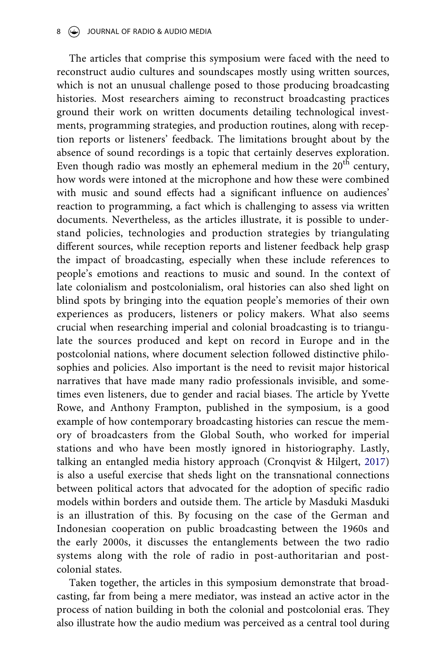The articles that comprise this symposium were faced with the need to reconstruct audio cultures and soundscapes mostly using written sources, which is not an unusual challenge posed to those producing broadcasting histories. Most researchers aiming to reconstruct broadcasting practices ground their work on written documents detailing technological investments, programming strategies, and production routines, along with reception reports or listeners' feedback. The limitations brought about by the absence of sound recordings is a topic that certainly deserves exploration. Even though radio was mostly an ephemeral medium in the  $20<sup>th</sup>$  century, how words were intoned at the microphone and how these were combined with music and sound effects had a significant influence on audiences' reaction to programming, a fact which is challenging to assess via written documents. Nevertheless, as the articles illustrate, it is possible to understand policies, technologies and production strategies by triangulating different sources, while reception reports and listener feedback help grasp the impact of broadcasting, especially when these include references to people's emotions and reactions to music and sound. In the context of late colonialism and postcolonialism, oral histories can also shed light on blind spots by bringing into the equation people's memories of their own experiences as producers, listeners or policy makers. What also seems crucial when researching imperial and colonial broadcasting is to triangulate the sources produced and kept on record in Europe and in the postcolonial nations, where document selection followed distinctive philosophies and policies. Also important is the need to revisit major historical narratives that have made many radio professionals invisible, and sometimes even listeners, due to gender and racial biases. The article by Yvette Rowe, and Anthony Frampton, published in the symposium, is a good example of how contemporary broadcasting histories can rescue the memory of broadcasters from the Global South, who worked for imperial stations and who have been mostly ignored in historiography. Lastly, talking an entangled media history approach (Cronqvist & Hilgert, [2017](#page-5-13)) is also a useful exercise that sheds light on the transnational connections between political actors that advocated for the adoption of specific radio models within borders and outside them. The article by Masduki Masduki is an illustration of this. By focusing on the case of the German and Indonesian cooperation on public broadcasting between the 1960s and the early 2000s, it discusses the entanglements between the two radio systems along with the role of radio in post-authoritarian and postcolonial states.

<span id="page-4-0"></span>Taken together, the articles in this symposium demonstrate that broadcasting, far from being a mere mediator, was instead an active actor in the process of nation building in both the colonial and postcolonial eras. They also illustrate how the audio medium was perceived as a central tool during